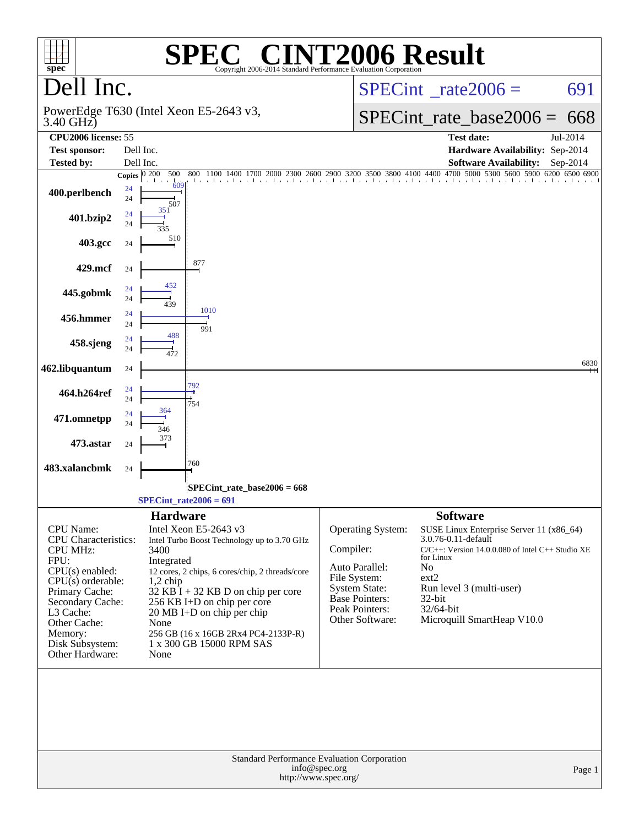| $spec^*$                                                                                                                                                                                                                   | $\P(\overline{R})$                                                                                                                                                                                                                                                                                                                                                     | <b>NT2006 Result</b><br>Copyright 2006-2014 Standard Performance Evaluation Corporation                                                                                                                                                                                                                                                                                                                                  |
|----------------------------------------------------------------------------------------------------------------------------------------------------------------------------------------------------------------------------|------------------------------------------------------------------------------------------------------------------------------------------------------------------------------------------------------------------------------------------------------------------------------------------------------------------------------------------------------------------------|--------------------------------------------------------------------------------------------------------------------------------------------------------------------------------------------------------------------------------------------------------------------------------------------------------------------------------------------------------------------------------------------------------------------------|
| Dell Inc.                                                                                                                                                                                                                  |                                                                                                                                                                                                                                                                                                                                                                        | $SPECint^{\circ}$ <sub>_rate2006</sub> =<br>691                                                                                                                                                                                                                                                                                                                                                                          |
| 3.40 GHz)                                                                                                                                                                                                                  | PowerEdge T630 (Intel Xeon E5-2643 v3,                                                                                                                                                                                                                                                                                                                                 | $SPECint_rate\_base2006 =$<br>668                                                                                                                                                                                                                                                                                                                                                                                        |
| CPU2006 license: 55<br><b>Test sponsor:</b>                                                                                                                                                                                | Dell Inc.                                                                                                                                                                                                                                                                                                                                                              | <b>Test date:</b><br>Jul-2014<br>Hardware Availability: Sep-2014                                                                                                                                                                                                                                                                                                                                                         |
| <b>Tested by:</b>                                                                                                                                                                                                          | Dell Inc.                                                                                                                                                                                                                                                                                                                                                              | <b>Software Availability:</b><br>$Sep-2014$                                                                                                                                                                                                                                                                                                                                                                              |
|                                                                                                                                                                                                                            | 500<br>Copies $\boxed{0\ 200}$<br>800 1100 1400<br>a di ana                                                                                                                                                                                                                                                                                                            | 00 1100 1400 1700 2000 2300 2600 2900 3200 3300 3800 4100 4400 4700 5000 5300 5600 5900 6200 6500 6900                                                                                                                                                                                                                                                                                                                   |
| 400.perlbench                                                                                                                                                                                                              | $\frac{1}{609}$<br>24<br>24<br>507                                                                                                                                                                                                                                                                                                                                     |                                                                                                                                                                                                                                                                                                                                                                                                                          |
| 401.bzip2                                                                                                                                                                                                                  | 351<br>24<br>24<br>335                                                                                                                                                                                                                                                                                                                                                 |                                                                                                                                                                                                                                                                                                                                                                                                                          |
| 403.gcc                                                                                                                                                                                                                    | 510<br>24                                                                                                                                                                                                                                                                                                                                                              |                                                                                                                                                                                                                                                                                                                                                                                                                          |
| 429.mcf                                                                                                                                                                                                                    | 877<br>24                                                                                                                                                                                                                                                                                                                                                              |                                                                                                                                                                                                                                                                                                                                                                                                                          |
| 445.gobmk                                                                                                                                                                                                                  | 452<br>24<br>24<br>439                                                                                                                                                                                                                                                                                                                                                 |                                                                                                                                                                                                                                                                                                                                                                                                                          |
| 456.hmmer                                                                                                                                                                                                                  | 1010<br>24<br>24<br>991                                                                                                                                                                                                                                                                                                                                                |                                                                                                                                                                                                                                                                                                                                                                                                                          |
| 458.sjeng                                                                                                                                                                                                                  | 488<br>24<br>24<br>472                                                                                                                                                                                                                                                                                                                                                 |                                                                                                                                                                                                                                                                                                                                                                                                                          |
| 462.libquantum                                                                                                                                                                                                             | 24<br>792                                                                                                                                                                                                                                                                                                                                                              | 6830                                                                                                                                                                                                                                                                                                                                                                                                                     |
| 464.h264ref                                                                                                                                                                                                                | 24<br>24<br>754<br>364                                                                                                                                                                                                                                                                                                                                                 |                                                                                                                                                                                                                                                                                                                                                                                                                          |
| 471.omnetpp                                                                                                                                                                                                                | 24<br>24<br>346                                                                                                                                                                                                                                                                                                                                                        |                                                                                                                                                                                                                                                                                                                                                                                                                          |
| 473.astar                                                                                                                                                                                                                  | 373<br>24                                                                                                                                                                                                                                                                                                                                                              |                                                                                                                                                                                                                                                                                                                                                                                                                          |
| 483.xalancbmk                                                                                                                                                                                                              | '760<br>24                                                                                                                                                                                                                                                                                                                                                             |                                                                                                                                                                                                                                                                                                                                                                                                                          |
|                                                                                                                                                                                                                            | SPECint_rate_base2006 = 668<br>$SPECint_rate2006 = 691$                                                                                                                                                                                                                                                                                                                |                                                                                                                                                                                                                                                                                                                                                                                                                          |
| CPU Name:<br>CPU Characteristics:<br><b>CPU MHz:</b><br>FPU:<br>CPU(s) enabled:<br>$CPU(s)$ orderable:<br>Primary Cache:<br>Secondary Cache:<br>L3 Cache:<br>Other Cache:<br>Memory:<br>Disk Subsystem:<br>Other Hardware: | <b>Hardware</b><br>Intel Xeon E5-2643 v3<br>Intel Turbo Boost Technology up to 3.70 GHz<br>3400<br>Integrated<br>12 cores, 2 chips, 6 cores/chip, 2 threads/core<br>$1,2$ chip<br>$32$ KB I + 32 KB D on chip per core<br>256 KB I+D on chip per core<br>20 MB I+D on chip per chip<br>None<br>256 GB (16 x 16GB 2Rx4 PC4-2133P-R)<br>1 x 300 GB 15000 RPM SAS<br>None | <b>Software</b><br><b>Operating System:</b><br>SUSE Linux Enterprise Server 11 (x86_64)<br>3.0.76-0.11-default<br>Compiler:<br>$C/C++$ : Version 14.0.0.080 of Intel $C++$ Studio XE<br>for Linux<br>Auto Parallel:<br>No<br>File System:<br>ext2<br><b>System State:</b><br>Run level 3 (multi-user)<br><b>Base Pointers:</b><br>32-bit<br>Peak Pointers:<br>32/64-bit<br>Other Software:<br>Microquill SmartHeap V10.0 |
|                                                                                                                                                                                                                            |                                                                                                                                                                                                                                                                                                                                                                        | <b>Standard Performance Evaluation Corporation</b><br>info@spec.org<br>Page 1<br>http://www.spec.org/                                                                                                                                                                                                                                                                                                                    |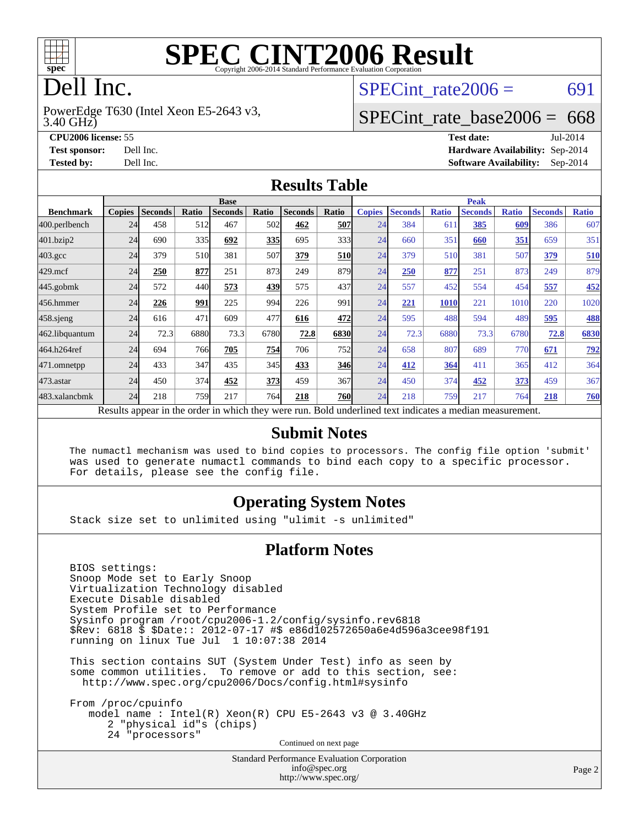

# **[SPEC CINT2006 Result](http://www.spec.org/auto/cpu2006/Docs/result-fields.html#SPECCINT2006Result)**

# Dell Inc.

3.40 GHz) PowerEdge T630 (Intel Xeon E5-2643 v3, SPECint rate $2006 = 691$ 

## [SPECint\\_rate\\_base2006 =](http://www.spec.org/auto/cpu2006/Docs/result-fields.html#SPECintratebase2006) 668

**[Tested by:](http://www.spec.org/auto/cpu2006/Docs/result-fields.html#Testedby)** Dell Inc. **[Software Availability:](http://www.spec.org/auto/cpu2006/Docs/result-fields.html#SoftwareAvailability)** Sep-2014

**[CPU2006 license:](http://www.spec.org/auto/cpu2006/Docs/result-fields.html#CPU2006license)** 55 **[Test date:](http://www.spec.org/auto/cpu2006/Docs/result-fields.html#Testdate)** Jul-2014 **[Test sponsor:](http://www.spec.org/auto/cpu2006/Docs/result-fields.html#Testsponsor)** Dell Inc. **[Hardware Availability:](http://www.spec.org/auto/cpu2006/Docs/result-fields.html#HardwareAvailability)** Sep-2014

#### **[Results Table](http://www.spec.org/auto/cpu2006/Docs/result-fields.html#ResultsTable)**

|                                                                                                          | <b>Base</b>   |                |       |                |            |                |            | <b>Peak</b>   |                |              |                |              |                |              |
|----------------------------------------------------------------------------------------------------------|---------------|----------------|-------|----------------|------------|----------------|------------|---------------|----------------|--------------|----------------|--------------|----------------|--------------|
| <b>Benchmark</b>                                                                                         | <b>Copies</b> | <b>Seconds</b> | Ratio | <b>Seconds</b> | Ratio      | <b>Seconds</b> | Ratio      | <b>Copies</b> | <b>Seconds</b> | <b>Ratio</b> | <b>Seconds</b> | <b>Ratio</b> | <b>Seconds</b> | <b>Ratio</b> |
| 400.perlbench                                                                                            | 24            | 458            | 512   | 467            | 502        | 462            | 507        | 24            | 384            | 611          | 385            | 609          | 386            | 607          |
| 401.bzip2                                                                                                | 24            | 690            | 335   | 692            | 335        | 695            | 333        | 24            | 660            | 351          | 660            | 351          | 659            | 351          |
| $403.\mathrm{gcc}$                                                                                       | 24            | 379            | 510   | 381            | 507        | 379            | <b>510</b> | 24            | 379            | 510          | 381            | 507          | 379            | 510          |
| $429$ .mcf                                                                                               | 24            | 250            | 877   | 251            | 873        | 249            | 879        | 24            | 250            | 877          | 251            | 873          | 249            | 879          |
| 445.gobmk                                                                                                | 24            | 572            | 440   | 573            | <u>439</u> | 575            | 437        | 24            | 557            | 452          | 554            | 454          | 557            | 452          |
| 456.hmmer                                                                                                | 24            | 226            | 991   | 225            | 994        | 226            | 991        | 24            | 221            | 1010         | 221            | 1010         | 220            | 1020         |
| $458$ .sjeng                                                                                             | 24            | 616            | 471   | 609            | 477        | 616            | 472        | 24            | 595            | 488          | 594            | 489          | 595            | 488          |
| 462.libquantum                                                                                           | 24            | 72.3           | 6880  | 73.3           | 6780       | 72.8           | 6830       | 24            | 72.3           | 6880         | 73.3           | 6780         | 72.8           | 6830         |
| 464.h264ref                                                                                              | 24            | 694            | 766   | 705            | 754        | 706            | <b>752</b> | 24            | 658            | 807          | 689            | 770          | 671            | <u>792</u>   |
| 471.omnetpp                                                                                              | 24            | 433            | 347   | 435            | 345        | 433            | 346        | 24            | 412            | 364          | 411            | 365          | 412            | 364          |
| 473.astar                                                                                                | 24            | 450            | 374   | 452            | 373        | 459            | 367        | 24            | 450            | 374          | 452            | 373          | 459            | 367          |
| 483.xalancbmk                                                                                            | 24            | 218            | 759   | 217            | 764        | 218            | <b>760</b> | 24            | 218            | 759          | 217            | 764          | 218            | <b>760</b>   |
| Results appear in the order in which they were run. Bold underlined text indicates a median measurement. |               |                |       |                |            |                |            |               |                |              |                |              |                |              |

#### **[Submit Notes](http://www.spec.org/auto/cpu2006/Docs/result-fields.html#SubmitNotes)**

 The numactl mechanism was used to bind copies to processors. The config file option 'submit' was used to generate numactl commands to bind each copy to a specific processor. For details, please see the config file.

## **[Operating System Notes](http://www.spec.org/auto/cpu2006/Docs/result-fields.html#OperatingSystemNotes)**

Stack size set to unlimited using "ulimit -s unlimited"

### **[Platform Notes](http://www.spec.org/auto/cpu2006/Docs/result-fields.html#PlatformNotes)**

 BIOS settings: Snoop Mode set to Early Snoop Virtualization Technology disabled Execute Disable disabled System Profile set to Performance Sysinfo program /root/cpu2006-1.2/config/sysinfo.rev6818 \$Rev: 6818 \$ \$Date:: 2012-07-17 #\$ e86d102572650a6e4d596a3cee98f191 running on linux Tue Jul 1 10:07:38 2014

 This section contains SUT (System Under Test) info as seen by some common utilities. To remove or add to this section, see: <http://www.spec.org/cpu2006/Docs/config.html#sysinfo>

 From /proc/cpuinfo model name : Intel(R) Xeon(R) CPU E5-2643 v3 @ 3.40GHz 2 "physical id"s (chips) 24 "processors" Continued on next page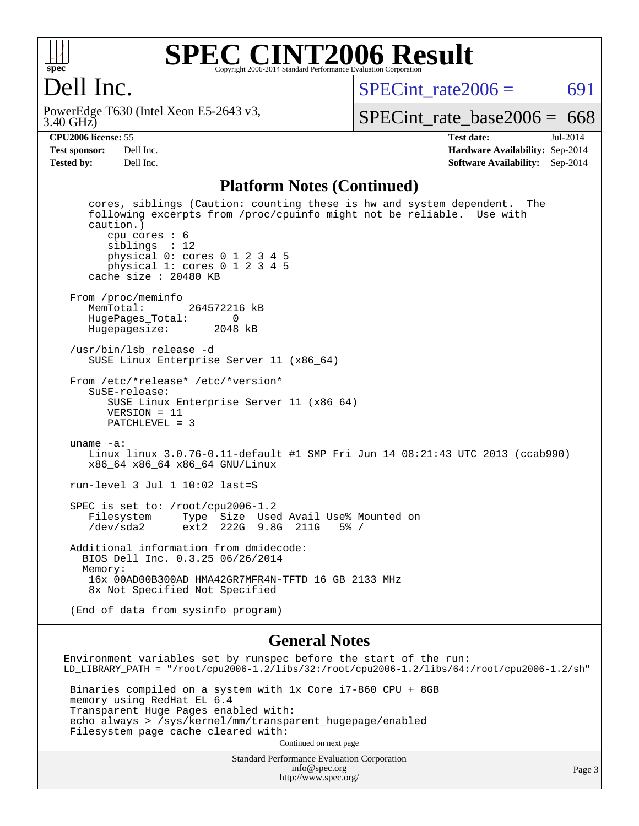

## **[SPEC CINT2006 Result](http://www.spec.org/auto/cpu2006/Docs/result-fields.html#SPECCINT2006Result)** Copyright 2006-2014 Standard Performance Evaluation Corpora

# Dell Inc.

3.40 GHz) PowerEdge T630 (Intel Xeon E5-2643 v3, SPECint rate $2006 = 691$ 

[SPECint\\_rate\\_base2006 =](http://www.spec.org/auto/cpu2006/Docs/result-fields.html#SPECintratebase2006)  $668$ 

**[CPU2006 license:](http://www.spec.org/auto/cpu2006/Docs/result-fields.html#CPU2006license)** 55 **[Test date:](http://www.spec.org/auto/cpu2006/Docs/result-fields.html#Testdate)** Jul-2014 **[Test sponsor:](http://www.spec.org/auto/cpu2006/Docs/result-fields.html#Testsponsor)** Dell Inc. **[Hardware Availability:](http://www.spec.org/auto/cpu2006/Docs/result-fields.html#HardwareAvailability)** Sep-2014 **[Tested by:](http://www.spec.org/auto/cpu2006/Docs/result-fields.html#Testedby)** Dell Inc. **[Software Availability:](http://www.spec.org/auto/cpu2006/Docs/result-fields.html#SoftwareAvailability)** Sep-2014

#### **[Platform Notes \(Continued\)](http://www.spec.org/auto/cpu2006/Docs/result-fields.html#PlatformNotes)**

 cores, siblings (Caution: counting these is hw and system dependent. The following excerpts from /proc/cpuinfo might not be reliable. Use with caution.) cpu cores : 6 siblings : 12 physical 0: cores 0 1 2 3 4 5 physical 1: cores 0 1 2 3 4 5 cache size : 20480 KB From /proc/meminfo<br>MemTotal: 264572216 kB HugePages\_Total: 0 Hugepagesize: 2048 kB /usr/bin/lsb\_release -d SUSE Linux Enterprise Server 11 (x86\_64) From /etc/\*release\* /etc/\*version\* SuSE-release: SUSE Linux Enterprise Server 11 (x86\_64) VERSION = 11 PATCHLEVEL = 3 uname -a: Linux linux 3.0.76-0.11-default #1 SMP Fri Jun 14 08:21:43 UTC 2013 (ccab990) x86\_64 x86\_64 x86\_64 GNU/Linux run-level 3 Jul 1 10:02 last=S SPEC is set to: /root/cpu2006-1.2 Filesystem Type Size Used Avail Use% Mounted on /dev/sda2 ext2 222G 9.8G 211G 5% / Additional information from dmidecode: BIOS Dell Inc. 0.3.25 06/26/2014 Memory: 16x 00AD00B300AD HMA42GR7MFR4N-TFTD 16 GB 2133 MHz 8x Not Specified Not Specified (End of data from sysinfo program)

### **[General Notes](http://www.spec.org/auto/cpu2006/Docs/result-fields.html#GeneralNotes)**

Environment variables set by runspec before the start of the run: LD\_LIBRARY\_PATH = "/root/cpu2006-1.2/libs/32:/root/cpu2006-1.2/libs/64:/root/cpu2006-1.2/sh" Binaries compiled on a system with 1x Core i7-860 CPU + 8GB memory using RedHat EL 6.4 Transparent Huge Pages enabled with: echo always > /sys/kernel/mm/transparent\_hugepage/enabled Filesystem page cache cleared with: Continued on next page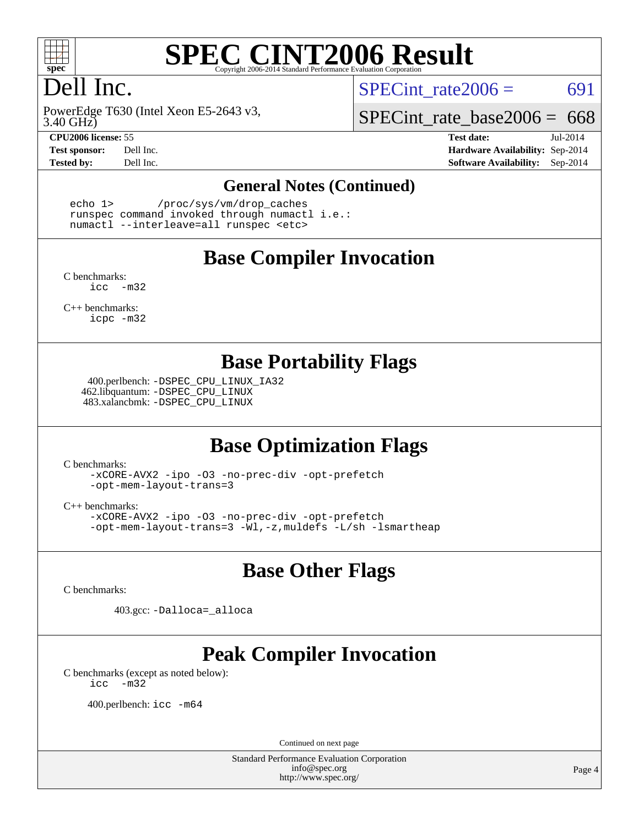

# **[SPEC CINT2006 Result](http://www.spec.org/auto/cpu2006/Docs/result-fields.html#SPECCINT2006Result)**

# Dell Inc.

3.40 GHz) PowerEdge T630 (Intel Xeon E5-2643 v3,

SPECint rate $2006 = 691$ 

SPECint rate base2006 =  $668$ 

**[CPU2006 license:](http://www.spec.org/auto/cpu2006/Docs/result-fields.html#CPU2006license)** 55 **[Test date:](http://www.spec.org/auto/cpu2006/Docs/result-fields.html#Testdate)** Jul-2014 **[Test sponsor:](http://www.spec.org/auto/cpu2006/Docs/result-fields.html#Testsponsor)** Dell Inc. **[Hardware Availability:](http://www.spec.org/auto/cpu2006/Docs/result-fields.html#HardwareAvailability)** Sep-2014 **[Tested by:](http://www.spec.org/auto/cpu2006/Docs/result-fields.html#Testedby)** Dell Inc. **[Software Availability:](http://www.spec.org/auto/cpu2006/Docs/result-fields.html#SoftwareAvailability)** Sep-2014

## **[General Notes \(Continued\)](http://www.spec.org/auto/cpu2006/Docs/result-fields.html#GeneralNotes)**

 echo 1> /proc/sys/vm/drop\_caches runspec command invoked through numactl i.e.: numactl --interleave=all runspec <etc>

## **[Base Compiler Invocation](http://www.spec.org/auto/cpu2006/Docs/result-fields.html#BaseCompilerInvocation)**

[C benchmarks](http://www.spec.org/auto/cpu2006/Docs/result-fields.html#Cbenchmarks): [icc -m32](http://www.spec.org/cpu2006/results/res2014q3/cpu2006-20140909-31379.flags.html#user_CCbase_intel_icc_5ff4a39e364c98233615fdd38438c6f2)

[C++ benchmarks:](http://www.spec.org/auto/cpu2006/Docs/result-fields.html#CXXbenchmarks) [icpc -m32](http://www.spec.org/cpu2006/results/res2014q3/cpu2006-20140909-31379.flags.html#user_CXXbase_intel_icpc_4e5a5ef1a53fd332b3c49e69c3330699)

## **[Base Portability Flags](http://www.spec.org/auto/cpu2006/Docs/result-fields.html#BasePortabilityFlags)**

 400.perlbench: [-DSPEC\\_CPU\\_LINUX\\_IA32](http://www.spec.org/cpu2006/results/res2014q3/cpu2006-20140909-31379.flags.html#b400.perlbench_baseCPORTABILITY_DSPEC_CPU_LINUX_IA32) 462.libquantum: [-DSPEC\\_CPU\\_LINUX](http://www.spec.org/cpu2006/results/res2014q3/cpu2006-20140909-31379.flags.html#b462.libquantum_baseCPORTABILITY_DSPEC_CPU_LINUX) 483.xalancbmk: [-DSPEC\\_CPU\\_LINUX](http://www.spec.org/cpu2006/results/res2014q3/cpu2006-20140909-31379.flags.html#b483.xalancbmk_baseCXXPORTABILITY_DSPEC_CPU_LINUX)

# **[Base Optimization Flags](http://www.spec.org/auto/cpu2006/Docs/result-fields.html#BaseOptimizationFlags)**

[C benchmarks](http://www.spec.org/auto/cpu2006/Docs/result-fields.html#Cbenchmarks):

[-xCORE-AVX2](http://www.spec.org/cpu2006/results/res2014q3/cpu2006-20140909-31379.flags.html#user_CCbase_f-xAVX2_5f5fc0cbe2c9f62c816d3e45806c70d7) [-ipo](http://www.spec.org/cpu2006/results/res2014q3/cpu2006-20140909-31379.flags.html#user_CCbase_f-ipo) [-O3](http://www.spec.org/cpu2006/results/res2014q3/cpu2006-20140909-31379.flags.html#user_CCbase_f-O3) [-no-prec-div](http://www.spec.org/cpu2006/results/res2014q3/cpu2006-20140909-31379.flags.html#user_CCbase_f-no-prec-div) [-opt-prefetch](http://www.spec.org/cpu2006/results/res2014q3/cpu2006-20140909-31379.flags.html#user_CCbase_f-opt-prefetch) [-opt-mem-layout-trans=3](http://www.spec.org/cpu2006/results/res2014q3/cpu2006-20140909-31379.flags.html#user_CCbase_f-opt-mem-layout-trans_a7b82ad4bd7abf52556d4961a2ae94d5)

[C++ benchmarks:](http://www.spec.org/auto/cpu2006/Docs/result-fields.html#CXXbenchmarks)

[-xCORE-AVX2](http://www.spec.org/cpu2006/results/res2014q3/cpu2006-20140909-31379.flags.html#user_CXXbase_f-xAVX2_5f5fc0cbe2c9f62c816d3e45806c70d7) [-ipo](http://www.spec.org/cpu2006/results/res2014q3/cpu2006-20140909-31379.flags.html#user_CXXbase_f-ipo) [-O3](http://www.spec.org/cpu2006/results/res2014q3/cpu2006-20140909-31379.flags.html#user_CXXbase_f-O3) [-no-prec-div](http://www.spec.org/cpu2006/results/res2014q3/cpu2006-20140909-31379.flags.html#user_CXXbase_f-no-prec-div) [-opt-prefetch](http://www.spec.org/cpu2006/results/res2014q3/cpu2006-20140909-31379.flags.html#user_CXXbase_f-opt-prefetch) [-opt-mem-layout-trans=3](http://www.spec.org/cpu2006/results/res2014q3/cpu2006-20140909-31379.flags.html#user_CXXbase_f-opt-mem-layout-trans_a7b82ad4bd7abf52556d4961a2ae94d5) [-Wl,-z,muldefs](http://www.spec.org/cpu2006/results/res2014q3/cpu2006-20140909-31379.flags.html#user_CXXbase_link_force_multiple1_74079c344b956b9658436fd1b6dd3a8a) [-L/sh -lsmartheap](http://www.spec.org/cpu2006/results/res2014q3/cpu2006-20140909-31379.flags.html#user_CXXbase_SmartHeap_32f6c82aa1ed9c52345d30cf6e4a0499)

# **[Base Other Flags](http://www.spec.org/auto/cpu2006/Docs/result-fields.html#BaseOtherFlags)**

[C benchmarks](http://www.spec.org/auto/cpu2006/Docs/result-fields.html#Cbenchmarks):

403.gcc: [-Dalloca=\\_alloca](http://www.spec.org/cpu2006/results/res2014q3/cpu2006-20140909-31379.flags.html#b403.gcc_baseEXTRA_CFLAGS_Dalloca_be3056838c12de2578596ca5467af7f3)

# **[Peak Compiler Invocation](http://www.spec.org/auto/cpu2006/Docs/result-fields.html#PeakCompilerInvocation)**

[C benchmarks \(except as noted below\)](http://www.spec.org/auto/cpu2006/Docs/result-fields.html#Cbenchmarksexceptasnotedbelow): [icc -m32](http://www.spec.org/cpu2006/results/res2014q3/cpu2006-20140909-31379.flags.html#user_CCpeak_intel_icc_5ff4a39e364c98233615fdd38438c6f2)

400.perlbench: [icc -m64](http://www.spec.org/cpu2006/results/res2014q3/cpu2006-20140909-31379.flags.html#user_peakCCLD400_perlbench_intel_icc_64bit_bda6cc9af1fdbb0edc3795bac97ada53)

Continued on next page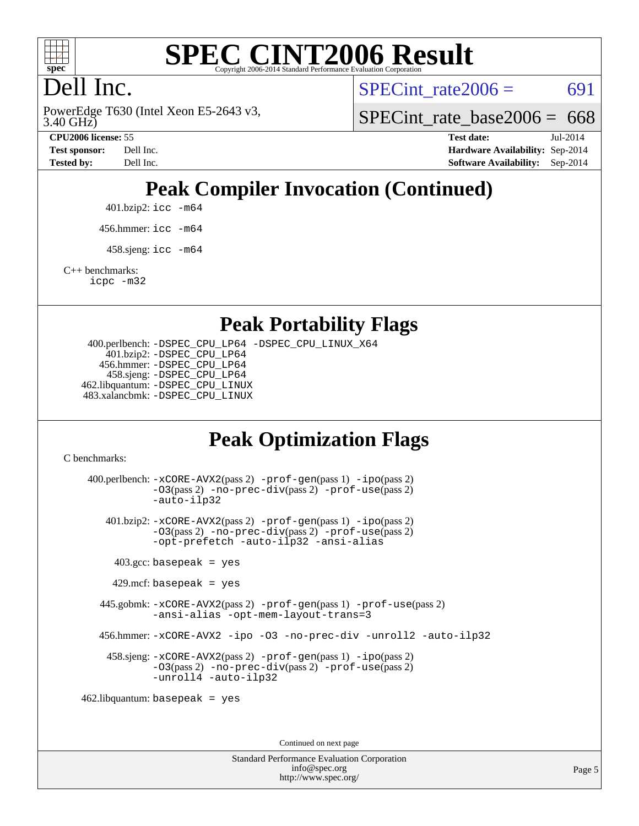

# **[SPEC CINT2006 Result](http://www.spec.org/auto/cpu2006/Docs/result-fields.html#SPECCINT2006Result)**

# Dell Inc.

3.40 GHz) PowerEdge T630 (Intel Xeon E5-2643 v3, SPECint rate $2006 = 691$ 

SPECint rate base  $2006 = 668$ 

**[CPU2006 license:](http://www.spec.org/auto/cpu2006/Docs/result-fields.html#CPU2006license)** 55 **[Test date:](http://www.spec.org/auto/cpu2006/Docs/result-fields.html#Testdate)** Jul-2014 **[Test sponsor:](http://www.spec.org/auto/cpu2006/Docs/result-fields.html#Testsponsor)** Dell Inc. **[Hardware Availability:](http://www.spec.org/auto/cpu2006/Docs/result-fields.html#HardwareAvailability)** Sep-2014 **[Tested by:](http://www.spec.org/auto/cpu2006/Docs/result-fields.html#Testedby)** Dell Inc. **[Software Availability:](http://www.spec.org/auto/cpu2006/Docs/result-fields.html#SoftwareAvailability)** Sep-2014

# **[Peak Compiler Invocation \(Continued\)](http://www.spec.org/auto/cpu2006/Docs/result-fields.html#PeakCompilerInvocation)**

401.bzip2: [icc -m64](http://www.spec.org/cpu2006/results/res2014q3/cpu2006-20140909-31379.flags.html#user_peakCCLD401_bzip2_intel_icc_64bit_bda6cc9af1fdbb0edc3795bac97ada53)

456.hmmer: [icc -m64](http://www.spec.org/cpu2006/results/res2014q3/cpu2006-20140909-31379.flags.html#user_peakCCLD456_hmmer_intel_icc_64bit_bda6cc9af1fdbb0edc3795bac97ada53)

 $458 \text{.}$ sjeng: icc  $-\text{m64}$ 

[C++ benchmarks:](http://www.spec.org/auto/cpu2006/Docs/result-fields.html#CXXbenchmarks)

[icpc -m32](http://www.spec.org/cpu2006/results/res2014q3/cpu2006-20140909-31379.flags.html#user_CXXpeak_intel_icpc_4e5a5ef1a53fd332b3c49e69c3330699)

## **[Peak Portability Flags](http://www.spec.org/auto/cpu2006/Docs/result-fields.html#PeakPortabilityFlags)**

 400.perlbench: [-DSPEC\\_CPU\\_LP64](http://www.spec.org/cpu2006/results/res2014q3/cpu2006-20140909-31379.flags.html#b400.perlbench_peakCPORTABILITY_DSPEC_CPU_LP64) [-DSPEC\\_CPU\\_LINUX\\_X64](http://www.spec.org/cpu2006/results/res2014q3/cpu2006-20140909-31379.flags.html#b400.perlbench_peakCPORTABILITY_DSPEC_CPU_LINUX_X64) 401.bzip2: [-DSPEC\\_CPU\\_LP64](http://www.spec.org/cpu2006/results/res2014q3/cpu2006-20140909-31379.flags.html#suite_peakCPORTABILITY401_bzip2_DSPEC_CPU_LP64) 456.hmmer: [-DSPEC\\_CPU\\_LP64](http://www.spec.org/cpu2006/results/res2014q3/cpu2006-20140909-31379.flags.html#suite_peakCPORTABILITY456_hmmer_DSPEC_CPU_LP64) 458.sjeng: [-DSPEC\\_CPU\\_LP64](http://www.spec.org/cpu2006/results/res2014q3/cpu2006-20140909-31379.flags.html#suite_peakCPORTABILITY458_sjeng_DSPEC_CPU_LP64) 462.libquantum: [-DSPEC\\_CPU\\_LINUX](http://www.spec.org/cpu2006/results/res2014q3/cpu2006-20140909-31379.flags.html#b462.libquantum_peakCPORTABILITY_DSPEC_CPU_LINUX) 483.xalancbmk: [-DSPEC\\_CPU\\_LINUX](http://www.spec.org/cpu2006/results/res2014q3/cpu2006-20140909-31379.flags.html#b483.xalancbmk_peakCXXPORTABILITY_DSPEC_CPU_LINUX)

# **[Peak Optimization Flags](http://www.spec.org/auto/cpu2006/Docs/result-fields.html#PeakOptimizationFlags)**

[C benchmarks](http://www.spec.org/auto/cpu2006/Docs/result-fields.html#Cbenchmarks):

 400.perlbench: [-xCORE-AVX2](http://www.spec.org/cpu2006/results/res2014q3/cpu2006-20140909-31379.flags.html#user_peakPASS2_CFLAGSPASS2_LDCFLAGS400_perlbench_f-xAVX2_5f5fc0cbe2c9f62c816d3e45806c70d7)(pass 2) [-prof-gen](http://www.spec.org/cpu2006/results/res2014q3/cpu2006-20140909-31379.flags.html#user_peakPASS1_CFLAGSPASS1_LDCFLAGS400_perlbench_prof_gen_e43856698f6ca7b7e442dfd80e94a8fc)(pass 1) [-ipo](http://www.spec.org/cpu2006/results/res2014q3/cpu2006-20140909-31379.flags.html#user_peakPASS2_CFLAGSPASS2_LDCFLAGS400_perlbench_f-ipo)(pass 2) [-O3](http://www.spec.org/cpu2006/results/res2014q3/cpu2006-20140909-31379.flags.html#user_peakPASS2_CFLAGSPASS2_LDCFLAGS400_perlbench_f-O3)(pass 2) [-no-prec-div](http://www.spec.org/cpu2006/results/res2014q3/cpu2006-20140909-31379.flags.html#user_peakPASS2_CFLAGSPASS2_LDCFLAGS400_perlbench_f-no-prec-div)(pass 2) [-prof-use](http://www.spec.org/cpu2006/results/res2014q3/cpu2006-20140909-31379.flags.html#user_peakPASS2_CFLAGSPASS2_LDCFLAGS400_perlbench_prof_use_bccf7792157ff70d64e32fe3e1250b55)(pass 2) [-auto-ilp32](http://www.spec.org/cpu2006/results/res2014q3/cpu2006-20140909-31379.flags.html#user_peakCOPTIMIZE400_perlbench_f-auto-ilp32) 401.bzip2: [-xCORE-AVX2](http://www.spec.org/cpu2006/results/res2014q3/cpu2006-20140909-31379.flags.html#user_peakPASS2_CFLAGSPASS2_LDCFLAGS401_bzip2_f-xAVX2_5f5fc0cbe2c9f62c816d3e45806c70d7)(pass 2) [-prof-gen](http://www.spec.org/cpu2006/results/res2014q3/cpu2006-20140909-31379.flags.html#user_peakPASS1_CFLAGSPASS1_LDCFLAGS401_bzip2_prof_gen_e43856698f6ca7b7e442dfd80e94a8fc)(pass 1) [-ipo](http://www.spec.org/cpu2006/results/res2014q3/cpu2006-20140909-31379.flags.html#user_peakPASS2_CFLAGSPASS2_LDCFLAGS401_bzip2_f-ipo)(pass 2) [-O3](http://www.spec.org/cpu2006/results/res2014q3/cpu2006-20140909-31379.flags.html#user_peakPASS2_CFLAGSPASS2_LDCFLAGS401_bzip2_f-O3)(pass 2) [-no-prec-div](http://www.spec.org/cpu2006/results/res2014q3/cpu2006-20140909-31379.flags.html#user_peakPASS2_CFLAGSPASS2_LDCFLAGS401_bzip2_f-no-prec-div)(pass 2) [-prof-use](http://www.spec.org/cpu2006/results/res2014q3/cpu2006-20140909-31379.flags.html#user_peakPASS2_CFLAGSPASS2_LDCFLAGS401_bzip2_prof_use_bccf7792157ff70d64e32fe3e1250b55)(pass 2) [-opt-prefetch](http://www.spec.org/cpu2006/results/res2014q3/cpu2006-20140909-31379.flags.html#user_peakCOPTIMIZE401_bzip2_f-opt-prefetch) [-auto-ilp32](http://www.spec.org/cpu2006/results/res2014q3/cpu2006-20140909-31379.flags.html#user_peakCOPTIMIZE401_bzip2_f-auto-ilp32) [-ansi-alias](http://www.spec.org/cpu2006/results/res2014q3/cpu2006-20140909-31379.flags.html#user_peakCOPTIMIZE401_bzip2_f-ansi-alias)  $403.\text{gcc: basepeak}$  = yes  $429$ .mcf: basepeak = yes 445.gobmk: [-xCORE-AVX2](http://www.spec.org/cpu2006/results/res2014q3/cpu2006-20140909-31379.flags.html#user_peakPASS2_CFLAGSPASS2_LDCFLAGS445_gobmk_f-xAVX2_5f5fc0cbe2c9f62c816d3e45806c70d7)(pass 2) [-prof-gen](http://www.spec.org/cpu2006/results/res2014q3/cpu2006-20140909-31379.flags.html#user_peakPASS1_CFLAGSPASS1_LDCFLAGS445_gobmk_prof_gen_e43856698f6ca7b7e442dfd80e94a8fc)(pass 1) [-prof-use](http://www.spec.org/cpu2006/results/res2014q3/cpu2006-20140909-31379.flags.html#user_peakPASS2_CFLAGSPASS2_LDCFLAGS445_gobmk_prof_use_bccf7792157ff70d64e32fe3e1250b55)(pass 2) [-ansi-alias](http://www.spec.org/cpu2006/results/res2014q3/cpu2006-20140909-31379.flags.html#user_peakCOPTIMIZE445_gobmk_f-ansi-alias) [-opt-mem-layout-trans=3](http://www.spec.org/cpu2006/results/res2014q3/cpu2006-20140909-31379.flags.html#user_peakCOPTIMIZE445_gobmk_f-opt-mem-layout-trans_a7b82ad4bd7abf52556d4961a2ae94d5) 456.hmmer: [-xCORE-AVX2](http://www.spec.org/cpu2006/results/res2014q3/cpu2006-20140909-31379.flags.html#user_peakCOPTIMIZE456_hmmer_f-xAVX2_5f5fc0cbe2c9f62c816d3e45806c70d7) [-ipo](http://www.spec.org/cpu2006/results/res2014q3/cpu2006-20140909-31379.flags.html#user_peakCOPTIMIZE456_hmmer_f-ipo) [-O3](http://www.spec.org/cpu2006/results/res2014q3/cpu2006-20140909-31379.flags.html#user_peakCOPTIMIZE456_hmmer_f-O3) [-no-prec-div](http://www.spec.org/cpu2006/results/res2014q3/cpu2006-20140909-31379.flags.html#user_peakCOPTIMIZE456_hmmer_f-no-prec-div) [-unroll2](http://www.spec.org/cpu2006/results/res2014q3/cpu2006-20140909-31379.flags.html#user_peakCOPTIMIZE456_hmmer_f-unroll_784dae83bebfb236979b41d2422d7ec2) [-auto-ilp32](http://www.spec.org/cpu2006/results/res2014q3/cpu2006-20140909-31379.flags.html#user_peakCOPTIMIZE456_hmmer_f-auto-ilp32) 458.sjeng: [-xCORE-AVX2](http://www.spec.org/cpu2006/results/res2014q3/cpu2006-20140909-31379.flags.html#user_peakPASS2_CFLAGSPASS2_LDCFLAGS458_sjeng_f-xAVX2_5f5fc0cbe2c9f62c816d3e45806c70d7)(pass 2) [-prof-gen](http://www.spec.org/cpu2006/results/res2014q3/cpu2006-20140909-31379.flags.html#user_peakPASS1_CFLAGSPASS1_LDCFLAGS458_sjeng_prof_gen_e43856698f6ca7b7e442dfd80e94a8fc)(pass 1) [-ipo](http://www.spec.org/cpu2006/results/res2014q3/cpu2006-20140909-31379.flags.html#user_peakPASS2_CFLAGSPASS2_LDCFLAGS458_sjeng_f-ipo)(pass 2) [-O3](http://www.spec.org/cpu2006/results/res2014q3/cpu2006-20140909-31379.flags.html#user_peakPASS2_CFLAGSPASS2_LDCFLAGS458_sjeng_f-O3)(pass 2) [-no-prec-div](http://www.spec.org/cpu2006/results/res2014q3/cpu2006-20140909-31379.flags.html#user_peakPASS2_CFLAGSPASS2_LDCFLAGS458_sjeng_f-no-prec-div)(pass 2) [-prof-use](http://www.spec.org/cpu2006/results/res2014q3/cpu2006-20140909-31379.flags.html#user_peakPASS2_CFLAGSPASS2_LDCFLAGS458_sjeng_prof_use_bccf7792157ff70d64e32fe3e1250b55)(pass 2) [-unroll4](http://www.spec.org/cpu2006/results/res2014q3/cpu2006-20140909-31379.flags.html#user_peakCOPTIMIZE458_sjeng_f-unroll_4e5e4ed65b7fd20bdcd365bec371b81f) [-auto-ilp32](http://www.spec.org/cpu2006/results/res2014q3/cpu2006-20140909-31379.flags.html#user_peakCOPTIMIZE458_sjeng_f-auto-ilp32) 462.libquantum: basepeak = yes

Continued on next page